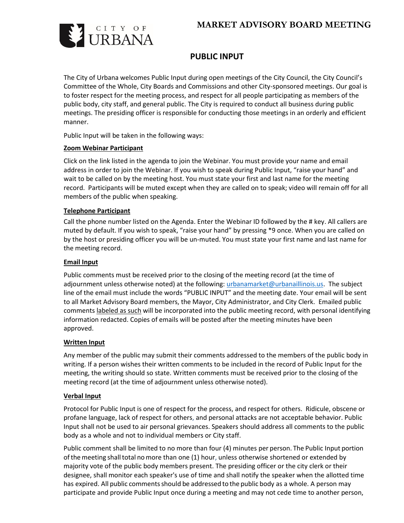# **MARKET ADVISORY BOARD MEETING**



## **PUBLIC INPUT**

The City of Urbana welcomes Public Input during open meetings of the City Council, the City Council's Committee of the Whole, City Boards and Commissions and other City-sponsored meetings. Our goal is to foster respect for the meeting process, and respect for all people participating as members of the public body, city staff, and general public. The City is required to conduct all business during public meetings. The presiding officer is responsible for conducting those meetings in an orderly and efficient manner.

Public Input will be taken in the following ways:

## **Zoom Webinar Participant**

Click on the link listed in the agenda to join the Webinar. You must provide your name and email address in order to join the Webinar. If you wish to speak during Public Input, "raise your hand" and wait to be called on by the meeting host. You must state your first and last name for the meeting record. Participants will be muted except when they are called on to speak; video will remain off for all members of the public when speaking.

## **Telephone Participant**

Call the phone number listed on the Agenda. Enter the Webinar ID followed by the # key. All callers are muted by default. If you wish to speak, "raise your hand" by pressing \*9 once. When you are called on by the host or presiding officer you will be un-muted. You must state your first name and last name for the meeting record.

## **Email Input**

Public comments must be received prior to the closing of the meeting record (at the time of adjournment unless otherwise noted) at the following: [urbanamarket@urbanaillinois.us.](mailto:urbanamarket@urbanaillinois.us) The subject line of the email must include the words "PUBLIC INPUT" and the meeting date. Your email will be sent to all Market Advisory Board members, the Mayor, City Administrator, and City Clerk. Emailed public comments labeled as such will be incorporated into the public meeting record, with personal identifying information redacted. Copies of emails will be posted after the meeting minutes have been approved.

## **Written Input**

Any member of the public may submit their comments addressed to the members of the public body in writing. If a person wishes their written comments to be included in the record of Public Input for the meeting, the writing should so state. Written comments must be received prior to the closing of the meeting record (at the time of adjournment unless otherwise noted).

## **Verbal Input**

Protocol for Public Input is one of respect for the process, and respect for others. Ridicule, obscene or profane language, lack of respect for others, and personal attacks are not acceptable behavior. Public Input shall not be used to air personal grievances. Speakers should address all comments to the public body as a whole and not to individual members or City staff.

Public comment shall be limited to no more than four (4) minutes per person. The Public Input portion of the meeting shall total no more than one (1) hour, unless otherwise shortened or extended by majority vote of the public body members present. The presiding officer or the city clerk or their designee, shall monitor each speaker's use of time and shall notify the speaker when the allotted time has expired. All public comments should be addressed to the public body as a whole. A person may participate and provide Public Input once during a meeting and may not cede time to another person,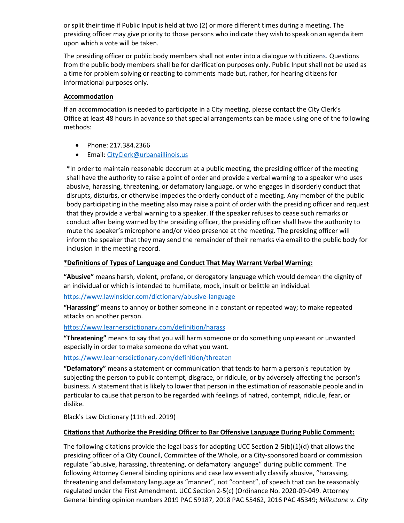or split their time if Public Input is held at two (2) or more different times during a meeting. The presiding officer may give priority to those persons who indicate they wish to speak on an agenda item upon which a vote will be taken.

The presiding officer or public body members shall not enter into a dialogue with citizens. Questions from the public body members shall be for clarification purposes only. Public Input shall not be used as a time for problem solving or reacting to comments made but, rather, for hearing citizens for informational purposes only.

## **Accommodation**

If an accommodation is needed to participate in a City meeting, please contact the City Clerk's Office at least 48 hours in advance so that special arrangements can be made using one of the following methods:

- Phone: 217.384.2366
- Email: [CityClerk@urbanaillinois.us](mailto:CityClerk@urbanaillinois.us)

\*In order to maintain reasonable decorum at a public meeting, the presiding officer of the meeting shall have the authority to raise a point of order and provide a verbal warning to a speaker who uses abusive, harassing, threatening, or defamatory language, or who engages in disorderly conduct that disrupts, disturbs, or otherwise impedes the orderly conduct of a meeting. Any member of the public body participating in the meeting also may raise a point of order with the presiding officer and request that they provide a verbal warning to a speaker. If the speaker refuses to cease such remarks or conduct after being warned by the presiding officer, the presiding officer shall have the authority to mute the speaker's microphone and/or video presence at the meeting. The presiding officer will inform the speaker that they may send the remainder of their remarks via email to the public body for inclusion in the meeting record.

## **\*Definitions of Types of Language and Conduct That May Warrant Verbal Warning:**

**"Abusive"** means harsh, violent, profane, or derogatory language which would demean the dignity of an individual or which is intended to humiliate, mock, insult or belittle an individual.

<https://www.lawinsider.com/dictionary/abusive-language>

**"Harassing"** means to annoy or bother someone in a constant or repeated way; to make repeated attacks on another person.

## <https://www.learnersdictionary.com/definition/harass>

**"Threatening"** means to say that you will harm someone or do something unpleasant or unwanted especially in order to make someone do what you want.

## <https://www.learnersdictionary.com/definition/threaten>

**"Defamatory"** means a statement or communication that tends to harm a person's reputation by subjecting the person to public contempt, disgrace, or ridicule, or by adversely affecting the person's business. A statement that is likely to lower that person in the estimation of reasonable people and in particular to cause that person to be regarded with feelings of hatred, contempt, ridicule, fear, or dislike.

Black's Law Dictionary (11th ed. 2019)

## **Citations that Authorize the Presiding Officer to Bar Offensive Language During Public Comment:**

The following citations provide the legal basis for adopting UCC Section 2-5(b)(1)(d) that allows the presiding officer of a City Council, Committee of the Whole, or a City-sponsored board or commission regulate "abusive, harassing, threatening, or defamatory language" during public comment. The following Attorney General binding opinions and case law essentially classify abusive, "harassing, threatening and defamatory language as "manner", not "content", of speech that can be reasonably regulated under the First Amendment. UCC Section 2-5(c) (Ordinance No. 2020-09-049. Attorney General binding opinion numbers 2019 PAC 59187, 2018 PAC 55462, 2016 PAC 45349; *Milestone v. City*